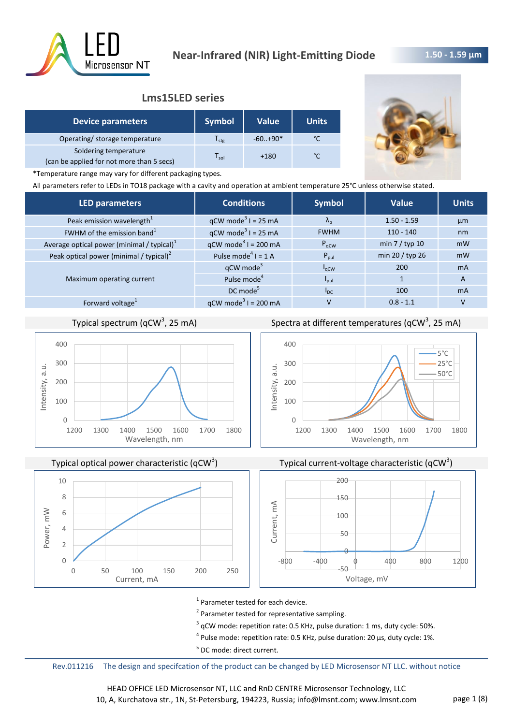

## **Lms15LED series**

| <b>Device parameters</b>                                           | <b>Symbol</b> | <b>Value</b> | <b>Units</b>  |
|--------------------------------------------------------------------|---------------|--------------|---------------|
| Operating/ storage temperature                                     | stg           | $-60.+90*$   |               |
| Soldering temperature<br>(can be applied for not more than 5 secs) | sol           | $+180$       | $\mathcal{C}$ |



\*Temperature range may vary for different packaging types.

All parameters refer to LEDs in TO18 package with a cavity and operation at ambient temperature 25°C unless otherwise stated.

| <b>LED parameters</b>                         | <b>Conditions</b>                      | <b>Symbol</b>     | <b>Value</b>    | <b>Units</b> |
|-----------------------------------------------|----------------------------------------|-------------------|-----------------|--------------|
| Peak emission wavelength <sup>1</sup>         | $qCW \text{ mode}^3 I = 25 \text{ mA}$ | $\Lambda_{\rm p}$ | $1.50 - 1.59$   | µm           |
| FWHM of the emission band <sup>1</sup>        | $qCW \text{ mode}^3$ I = 25 mA         | <b>FWHM</b>       | $110 - 140$     | nm           |
| Average optical power (minimal / typical) $1$ | $qCW \text{ mode}^3$ I = 200 mA        | $P_{\text{aCW}}$  | min $7/$ typ 10 | mW           |
| Peak optical power (minimal / typical) $2$    | Pulse mode <sup>4</sup> $I = 1$ A      | $P_{\text{pul}}$  | min 20 / typ 26 | mW           |
|                                               | $qCW \text{ mode}^3$                   | $I_{\rm qCW}$     | 200             | <b>mA</b>    |
| Maximum operating current                     | Pulse mode <sup>4</sup>                | $I_{\text{pul}}$  |                 | A            |
|                                               | DC mode <sup>5</sup>                   | $I_{DC}$          | 100             | <b>mA</b>    |
| Forward voltage <sup>1</sup>                  | $qCW \text{ mode}^3$ I = 200 mA        | v                 | $0.8 - 1.1$     |              |
|                                               |                                        |                   |                 |              |

# Typical spectrum (qCW<sup>3</sup>, 25 mA)



Typical optical power characteristic (qCW<sup>3</sup>)



Spectra at different temperatures (qCW<sup>3</sup>, 25 mA)







<sup>1</sup> Parameter tested for each device.

<sup>2</sup> Parameter tested for representative sampling.

 $3$  qCW mode: repetition rate: 0.5 KHz, pulse duration: 1 ms, duty cycle: 50%.

 $^4$  Pulse mode: repetition rate: 0.5 KHz, pulse duration: 20 µs, duty cycle: 1%.

<sup>5</sup> DC mode: direct current.

Rev.011216 The design and specifcation of the product can be changed by LED Microsensor NT LLC. without notice

HEAD OFFICE LED Microsensor NT, LLC and RnD CENTRE Microsensor Technology, LLC 10, A, Kurchatova str., 1N, St-Petersburg, 194223, Russia; info@lmsnt.com; www.lmsnt.com page 1 (8)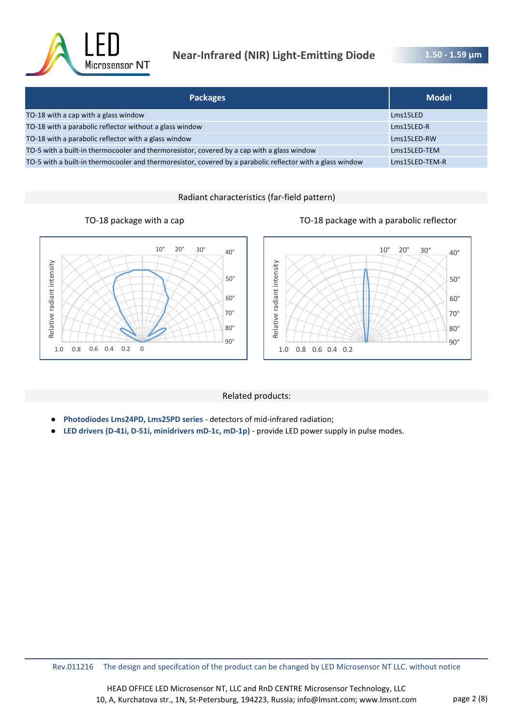

# **Near-Infrared (NIR) Light-Emitting Diode**

**1.50 - 1.59 μm** 

| <b>Packages</b>                                                                                            | <b>Model</b>   |
|------------------------------------------------------------------------------------------------------------|----------------|
| TO-18 with a cap with a glass window                                                                       | Lms15LED       |
| TO-18 with a parabolic reflector without a glass window                                                    | Lms15LED-R     |
| TO-18 with a parabolic reflector with a glass window                                                       | Lms15LED-RW    |
| TO-5 with a built-in thermocooler and thermoresistor, covered by a cap with a glass window                 | Lms15LED-TEM   |
| TO-5 with a built-in thermocooler and thermoresistor, covered by a parabolic reflector with a glass window | Lms15LED-TEM-R |

Radiant characteristics (far-field pattern)





### Related products:

- **Photodiodes Lms24PD, Lms25PD series**  detectors of mid-infrared radiation;
- LED drivers (D-41i, D-51i, minidrivers mD-1c, mD-1p) provide LED power supply in pulse modes.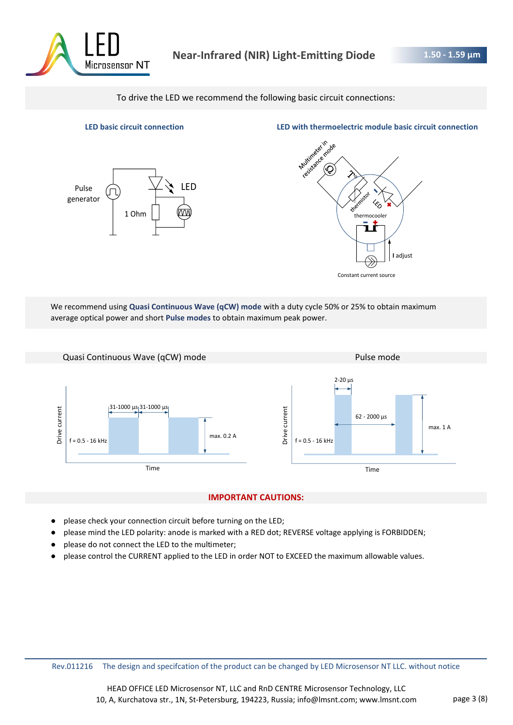

To drive the LED we recommend the following basic circuit connections:



**LED basic circuit connection LED with thermoelectric module basic circuit connection**



We recommend using **Quasi Continuous Wave (qCW) mode** with a duty cycle 50% or 25% to obtain maximum average optical power and short **Pulse modes** to obtain maximum peak power.



### **IMPORTANT CAUTIONS:**

- please check your connection circuit before turning on the LED;
- please mind the LED polarity: anode is marked with a RED dot; REVERSE voltage applying is FORBIDDEN;
- please do not connect the LED to the multimeter;
- please control the CURRENT applied to the LED in order NOT to EXCEED the maximum allowable values.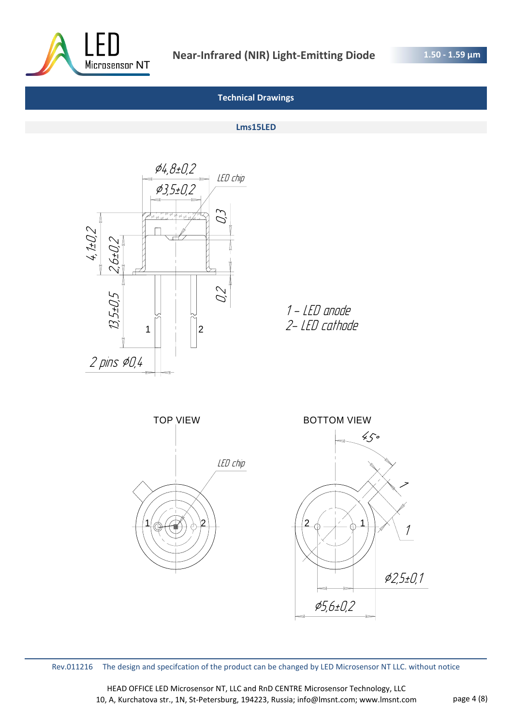

## **Technical Drawings**

#### **Lms15LED**



1 - LED anode 2- LED cathode



Rev.011216 The design and specifcation of the product can be changed by LED Microsensor NT LLC. without notice

HEAD OFFICE LED Microsensor NT, LLC and RnD CENTRE Microsensor Technology, LLC 10, A, Kurchatova str., 1N, St-Petersburg, 194223, Russia; info@lmsnt.com; www.lmsnt.com page 4 (8)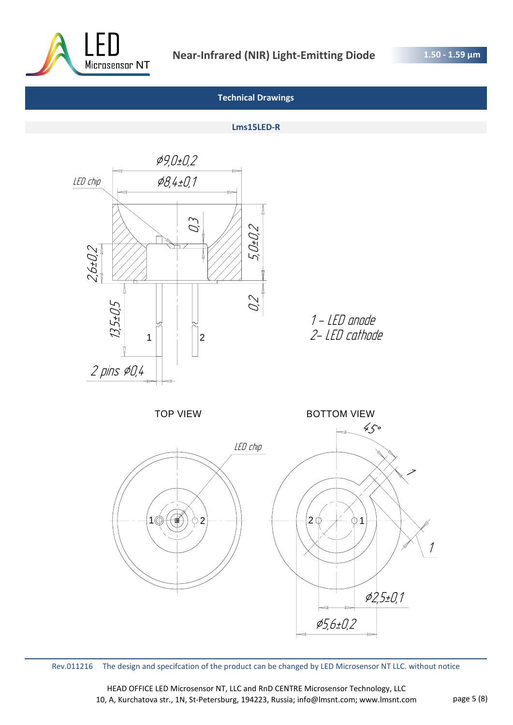

## **Technical Drawings**

#### **Lms15LED-R**



Rev.011216 The design and specifcation of the product can be changed by LED Microsensor NT LLC. without notice

HEAD OFFICE LED Microsensor NT, LLC and RnD CENTRE Microsensor Technology, LLC 10, A, Kurchatova str., 1N, St-Petersburg, 194223, Russia; info@lmsnt.com; www.lmsnt.com page 5 (8)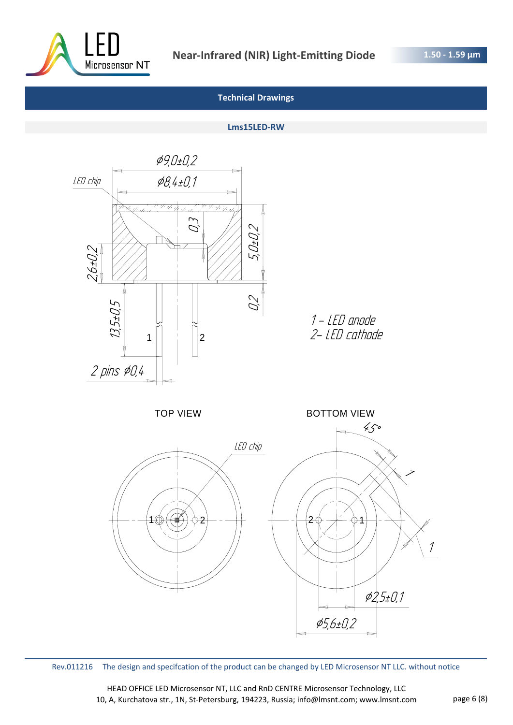

## **Technical Drawings**

#### **Lms15LED-RW**



Rev.011216 The design and specifcation of the product can be changed by LED Microsensor NT LLC. without notice

HEAD OFFICE LED Microsensor NT, LLC and RnD CENTRE Microsensor Technology, LLC 10, A, Kurchatova str., 1N, St-Petersburg, 194223, Russia; info@lmsnt.com; www.lmsnt.com page 6 (8)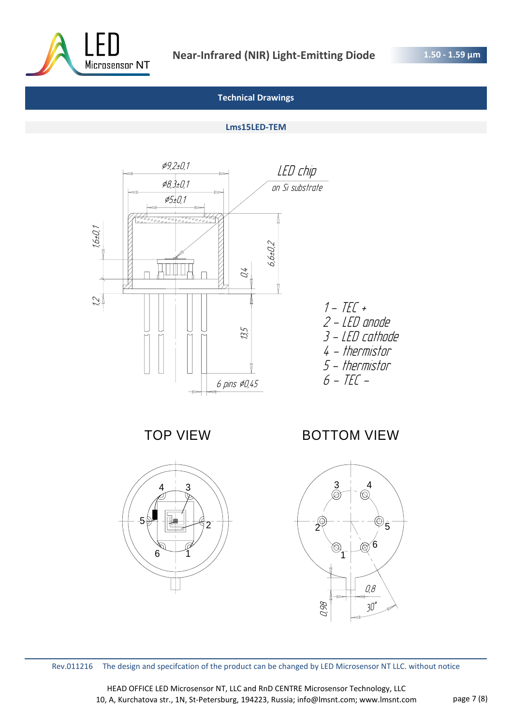

## **Technical Drawings**

### **Lms15LED-TEM**



TOP VIEW



BOTTOM VIEW



Rev.011216 The design and specifcation of the product can be changed by LED Microsensor NT LLC. without notice

HEAD OFFICE LED Microsensor NT, LLC and RnD CENTRE Microsensor Technology, LLC 10, A, Kurchatova str., 1N, St-Petersburg, 194223, Russia; info@lmsnt.com; www.lmsnt.com page 7 (8)